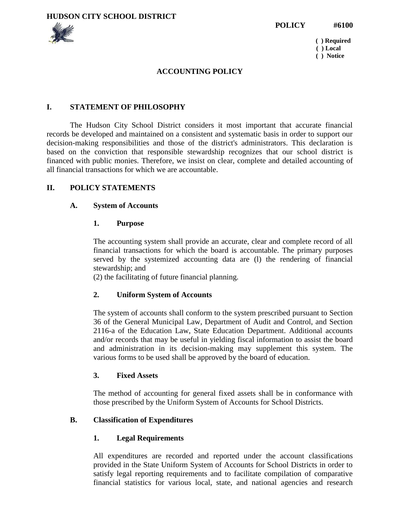



 **( ) Required ( ) Local ( ) Notice**

#### **ACCOUNTING POLICY**

#### **I. STATEMENT OF PHILOSOPHY**

The Hudson City School District considers it most important that accurate financial records be developed and maintained on a consistent and systematic basis in order to support our decision-making responsibilities and those of the district's administrators. This declaration is based on the conviction that responsible stewardship recognizes that our school district is financed with public monies. Therefore, we insist on clear, complete and detailed accounting of all financial transactions for which we are accountable.

#### **II. POLICY STATEMENTS**

#### **A. System of Accounts**

#### **1. Purpose**

The accounting system shall provide an accurate, clear and complete record of all financial transactions for which the board is accountable. The primary purposes served by the systemized accounting data are (l) the rendering of financial stewardship; and

(2) the facilitating of future financial planning.

#### **2. Uniform System of Accounts**

The system of accounts shall conform to the system prescribed pursuant to Section 36 of the General Municipal Law, Department of Audit and Control, and Section 2116-a of the Education Law, State Education Department. Additional accounts and/or records that may be useful in yielding fiscal information to assist the board and administration in its decision-making may supplement this system. The various forms to be used shall be approved by the board of education.

#### **3. Fixed Assets**

The method of accounting for general fixed assets shall be in conformance with those prescribed by the Uniform System of Accounts for School Districts.

#### **B. Classification of Expenditures**

#### **1. Legal Requirements**

All expenditures are recorded and reported under the account classifications provided in the State Uniform System of Accounts for School Districts in order to satisfy legal reporting requirements and to facilitate compilation of comparative financial statistics for various local, state, and national agencies and research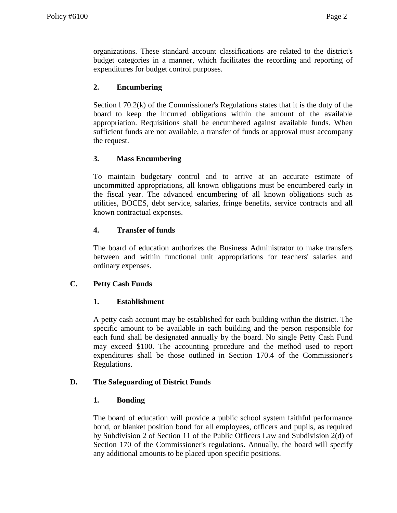organizations. These standard account classifications are related to the district's budget categories in a manner, which facilitates the recording and reporting of expenditures for budget control purposes.

# **2. Encumbering**

Section l 70.2(k) of the Commissioner's Regulations states that it is the duty of the board to keep the incurred obligations within the amount of the available appropriation. Requisitions shall be encumbered against available funds. When sufficient funds are not available, a transfer of funds or approval must accompany the request.

# **3. Mass Encumbering**

To maintain budgetary control and to arrive at an accurate estimate of uncommitted appropriations, all known obligations must be encumbered early in the fiscal year. The advanced encumbering of all known obligations such as utilities, BOCES, debt service, salaries, fringe benefits, service contracts and all known contractual expenses.

## **4. Transfer of funds**

The board of education authorizes the Business Administrator to make transfers between and within functional unit appropriations for teachers' salaries and ordinary expenses.

## **C. Petty Cash Funds**

## **1. Establishment**

A petty cash account may be established for each building within the district. The specific amount to be available in each building and the person responsible for each fund shall be designated annually by the board. No single Petty Cash Fund may exceed \$100. The accounting procedure and the method used to report expenditures shall be those outlined in Section 170.4 of the Commissioner's Regulations.

## **D. The Safeguarding of District Funds**

## **1. Bonding**

The board of education will provide a public school system faithful performance bond, or blanket position bond for all employees, officers and pupils, as required by Subdivision 2 of Section 11 of the Public Officers Law and Subdivision 2(d) of Section 170 of the Commissioner's regulations. Annually, the board will specify any additional amounts to be placed upon specific positions.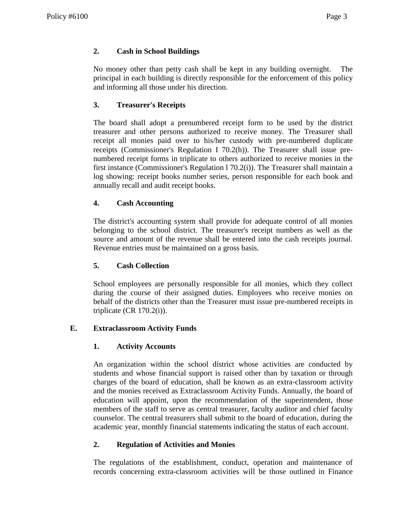# **2. Cash in School Buildings**

No money other than petty cash shall be kept in any building overnight. The principal in each building is directly responsible for the enforcement of this policy and informing all those under his direction.

# **3. Treasurer's Receipts**

The board shall adopt a prenumbered receipt form to be used by the district treasurer and other persons authorized to receive money. The Treasurer shall receipt all monies paid over to his/her custody with pre-numbered duplicate receipts (Commissioner's Regulation I 70.2(h)). The Treasurer shall issue prenumbered receipt forms in triplicate to others authorized to receive monies in the first instance (Commissioner's Regulation l 70.2(i)). The Treasurer shall maintain a log showing: receipt books number series, person responsible for each book and annually recall and audit receipt books.

# **4. Cash Accounting**

The district's accounting system shall provide for adequate control of all monies belonging to the school district. The treasurer's receipt numbers as well as the source and amount of the revenue shall be entered into the cash receipts journal. Revenue entries must be maintained on a gross basis.

## **5. Cash Collection**

School employees are personally responsible for all monies, which they collect during the course of their assigned duties. Employees who receive monies on behalf of the districts other than the Treasurer must issue pre-numbered receipts in triplicate (CR  $170.2(i)$ ).

## **E. Extraclassroom Activity Funds**

## **1. Activity Accounts**

An organization within the school district whose activities are conducted by students and whose financial support is raised other than by taxation or through charges of the board of education, shall be known as an extra-classroom activity and the monies received as Extraclassroom Activity Funds. Annually, the board of education will appoint, upon the recommendation of the superintendent, those members of the staff to serve as central treasurer, faculty auditor and chief faculty counselor. The central treasurers shall submit to the board of education, during the academic year, monthly financial statements indicating the status of each account.

## **2. Regulation of Activities and Monies**

The regulations of the establishment, conduct, operation and maintenance of records concerning extra-classroom activities will be those outlined in Finance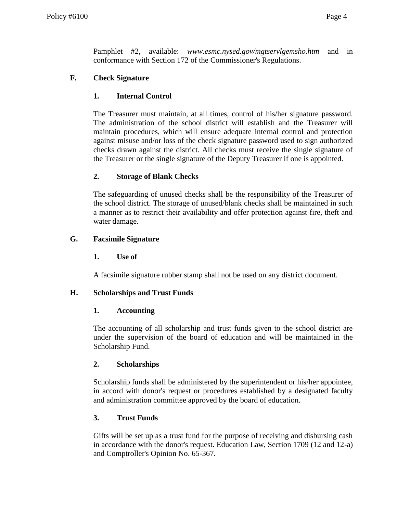Pamphlet #2, available: *www.esmc.nysed.gov/mgtservlgemsho.htm* and in conformance with Section 172 of the Commissioner's Regulations.

### **F. Check Signature**

### **1. Internal Control**

The Treasurer must maintain, at all times, control of his/her signature password. The administration of the school district will establish and the Treasurer will maintain procedures, which will ensure adequate internal control and protection against misuse and/or loss of the check signature password used to sign authorized checks drawn against the district. All checks must receive the single signature of the Treasurer or the single signature of the Deputy Treasurer if one is appointed.

### **2. Storage of Blank Checks**

The safeguarding of unused checks shall be the responsibility of the Treasurer of the school district. The storage of unused/blank checks shall be maintained in such a manner as to restrict their availability and offer protection against fire, theft and water damage.

### **G. Facsimile Signature**

### **1. Use of**

A facsimile signature rubber stamp shall not be used on any district document.

### **H. Scholarships and Trust Funds**

### **1. Accounting**

The accounting of all scholarship and trust funds given to the school district are under the supervision of the board of education and will be maintained in the Scholarship Fund.

### **2. Scholarships**

Scholarship funds shall be administered by the superintendent or his/her appointee, in accord with donor's request or procedures established by a designated faculty and administration committee approved by the board of education.

## **3. Trust Funds**

Gifts will be set up as a trust fund for the purpose of receiving and disbursing cash in accordance with the donor's request. Education Law, Section 1709 (12 and 12-a) and Comptroller's Opinion No. 65-367.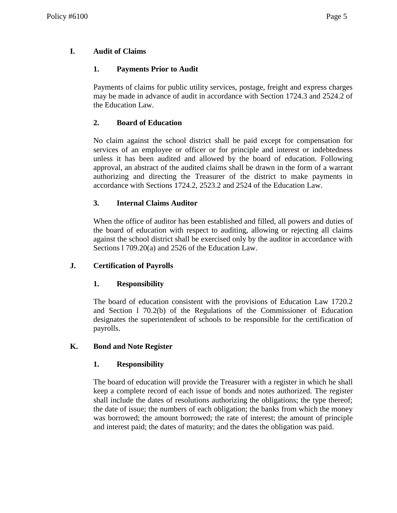# **I. Audit of Claims**

# **1. Payments Prior to Audit**

Payments of claims for public utility services, postage, freight and express charges may be made in advance of audit in accordance with Section 1724.3 and 2524.2 of the Education Law.

# **2. Board of Education**

No claim against the school district shall be paid except for compensation for services of an employee or officer or for principle and interest or indebtedness unless it has been audited and allowed by the board of education. Following approval, an abstract of the audited claims shall be drawn in the form of a warrant authorizing and directing the Treasurer of the district to make payments in accordance with Sections 1724.2, 2523.2 and 2524 of the Education Law.

## **3. Internal Claims Auditor**

When the office of auditor has been established and filled, all powers and duties of the board of education with respect to auditing, allowing or rejecting all claims against the school district shall be exercised only by the auditor in accordance with Sections l 709.20(a) and 2526 of the Education Law.

## **J. Certification of Payrolls**

## **1. Responsibility**

The board of education consistent with the provisions of Education Law 1720.2 and Section l 70.2(b) of the Regulations of the Commissioner of Education designates the superintendent of schools to be responsible for the certification of payrolls.

## **K. Bond and Note Register**

## **1. Responsibility**

The board of education will provide the Treasurer with a register in which he shall keep a complete record of each issue of bonds and notes authorized. The register shall include the dates of resolutions authorizing the obligations; the type thereof; the date of issue; the numbers of each obligation; the banks from which the money was borrowed; the amount borrowed; the rate of interest; the amount of principle and interest paid; the dates of maturity; and the dates the obligation was paid.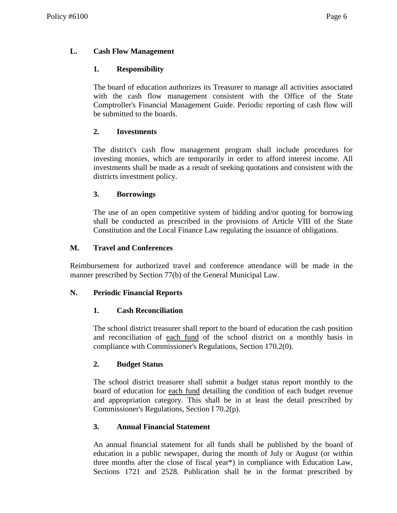## **L. Cash Flow Management**

### **1. Responsibility**

The board of education authorizes its Treasurer to manage all activities associated with the cash flow management consistent with the Office of the State Comptroller's Financial Management Guide. Periodic reporting of cash flow will be submitted to the boards.

### **2. Investments**

The district's cash flow management program shall include procedures for investing monies, which are temporarily in order to afford interest income. All investments shall be made as a result of seeking quotations and consistent with the districts investment policy.

### **3. Borrowings**

The use of an open competitive system of bidding and/or quoting for borrowing shall be conducted as prescribed in the provisions of Article VIII of the State Constitution and the Local Finance Law regulating the issuance of obligations.

### **M. Travel and Conferences**

Reimbursement for authorized travel and conference attendance will be made in the manner prescribed by Section 77(b) of the General Municipal Law.

### **N. Periodic Financial Reports**

### **1. Cash Reconciliation**

The school district treasurer shall report to the board of education the cash position and reconciliation of each fund of the school district on a monthly basis in compliance with Commissioner's Regulations, Section 170.2(0).

### **2. Budget Status**

The school district treasurer shall submit a budget status report monthly to the board of education for each fund detailing the condition of each budget revenue and appropriation category. This shall be in at least the detail prescribed by Commissioner's Regulations, Section I 70.2(p).

## **3. Annual Financial Statement**

An annual financial statement for all funds shall be published by the board of education in a public newspaper, during the month of July or August (or within three months after the close of fiscal year\*) in compliance with Education Law, Sections 1721 and 2528. Publication shall be in the format prescribed by